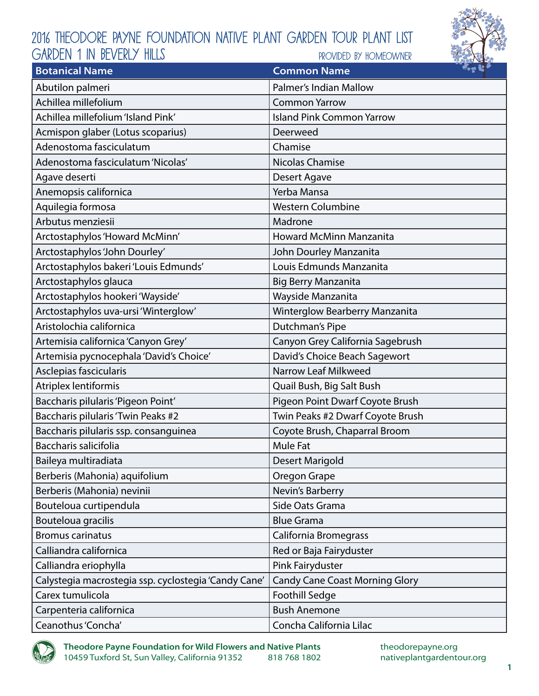

| <b>Botanical Name</b>                                | <b>Common Name</b>                    | $\sim$ $\approx$ |
|------------------------------------------------------|---------------------------------------|------------------|
| Abutilon palmeri                                     | Palmer's Indian Mallow                |                  |
| Achillea millefolium                                 | <b>Common Yarrow</b>                  |                  |
| Achillea millefolium 'Island Pink'                   | <b>Island Pink Common Yarrow</b>      |                  |
| Acmispon glaber (Lotus scoparius)                    | Deerweed                              |                  |
| Adenostoma fasciculatum                              | Chamise                               |                  |
| Adenostoma fasciculatum 'Nicolas'                    | <b>Nicolas Chamise</b>                |                  |
| Agave deserti                                        | Desert Agave                          |                  |
| Anemopsis californica                                | Yerba Mansa                           |                  |
| Aquilegia formosa                                    | <b>Western Columbine</b>              |                  |
| Arbutus menziesii                                    | Madrone                               |                  |
| Arctostaphylos 'Howard McMinn'                       | <b>Howard McMinn Manzanita</b>        |                  |
| Arctostaphylos 'John Dourley'                        | John Dourley Manzanita                |                  |
| Arctostaphylos bakeri 'Louis Edmunds'                | Louis Edmunds Manzanita               |                  |
| Arctostaphylos glauca                                | <b>Big Berry Manzanita</b>            |                  |
| Arctostaphylos hookeri 'Wayside'                     | Wayside Manzanita                     |                  |
| Arctostaphylos uva-ursi 'Winterglow'                 | Winterglow Bearberry Manzanita        |                  |
| Aristolochia californica                             | Dutchman's Pipe                       |                  |
| Artemisia californica 'Canyon Grey'                  | Canyon Grey California Sagebrush      |                  |
| Artemisia pycnocephala 'David's Choice'              | David's Choice Beach Sagewort         |                  |
| Asclepias fascicularis                               | Narrow Leaf Milkweed                  |                  |
| Atriplex lentiformis                                 | Quail Bush, Big Salt Bush             |                  |
| Baccharis pilularis 'Pigeon Point'                   | Pigeon Point Dwarf Coyote Brush       |                  |
| Baccharis pilularis 'Twin Peaks #2                   | Twin Peaks #2 Dwarf Coyote Brush      |                  |
| Baccharis pilularis ssp. consanguinea                | Coyote Brush, Chaparral Broom         |                  |
| Baccharis salicifolia                                | Mule Fat                              |                  |
| Baileya multiradiata                                 | Desert Marigold                       |                  |
| Berberis (Mahonia) aquifolium                        | Oregon Grape                          |                  |
| Berberis (Mahonia) nevinii                           | Nevin's Barberry                      |                  |
| Bouteloua curtipendula                               | Side Oats Grama                       |                  |
| Bouteloua gracilis                                   | <b>Blue Grama</b>                     |                  |
| <b>Bromus carinatus</b>                              | California Bromegrass                 |                  |
| Calliandra californica                               | Red or Baja Fairyduster               |                  |
| Calliandra eriophylla                                | Pink Fairyduster                      |                  |
| Calystegia macrostegia ssp. cyclostegia 'Candy Cane' | <b>Candy Cane Coast Morning Glory</b> |                  |
| Carex tumulicola                                     | <b>Foothill Sedge</b>                 |                  |
| Carpenteria californica                              | <b>Bush Anemone</b>                   |                  |
| Ceanothus 'Concha'                                   | Concha California Lilac               |                  |

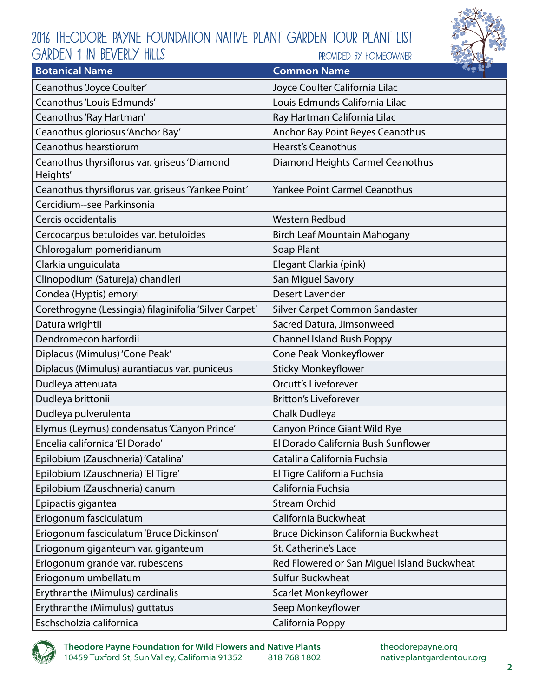

| <b>Botanical Name</b>                                    | $\mathcal{L} = \mathcal{L}$<br><b>Common Name</b> |
|----------------------------------------------------------|---------------------------------------------------|
| Ceanothus 'Joyce Coulter'                                | Joyce Coulter California Lilac                    |
| Ceanothus 'Louis Edmunds'                                | Louis Edmunds California Lilac                    |
| Ceanothus 'Ray Hartman'                                  | Ray Hartman California Lilac                      |
| Ceanothus gloriosus 'Anchor Bay'                         | Anchor Bay Point Reyes Ceanothus                  |
| Ceanothus hearstiorum                                    | <b>Hearst's Ceanothus</b>                         |
| Ceanothus thyrsiflorus var. griseus 'Diamond<br>Heights' | Diamond Heights Carmel Ceanothus                  |
| Ceanothus thyrsiflorus var. griseus 'Yankee Point'       | <b>Yankee Point Carmel Ceanothus</b>              |
| Cercidium--see Parkinsonia                               |                                                   |
| Cercis occidentalis                                      | <b>Western Redbud</b>                             |
| Cercocarpus betuloides var. betuloides                   | <b>Birch Leaf Mountain Mahogany</b>               |
| Chlorogalum pomeridianum                                 | Soap Plant                                        |
| Clarkia unguiculata                                      | Elegant Clarkia (pink)                            |
| Clinopodium (Satureja) chandleri                         | San Miguel Savory                                 |
| Condea (Hyptis) emoryi                                   | Desert Lavender                                   |
| Corethrogyne (Lessingia) filaginifolia 'Silver Carpet'   | Silver Carpet Common Sandaster                    |
| Datura wrightii                                          | Sacred Datura, Jimsonweed                         |
| Dendromecon harfordii                                    | <b>Channel Island Bush Poppy</b>                  |
| Diplacus (Mimulus) 'Cone Peak'                           | Cone Peak Monkeyflower                            |
| Diplacus (Mimulus) aurantiacus var. puniceus             | <b>Sticky Monkeyflower</b>                        |
| Dudleya attenuata                                        | <b>Orcutt's Liveforever</b>                       |
| Dudleya brittonii                                        | <b>Britton's Liveforever</b>                      |
| Dudleya pulverulenta                                     | Chalk Dudleya                                     |
| Elymus (Leymus) condensatus 'Canyon Prince'              | Canyon Prince Giant Wild Rye                      |
| Encelia californica 'El Dorado'                          | El Dorado California Bush Sunflower               |
| Epilobium (Zauschneria) 'Catalina'                       | Catalina California Fuchsia                       |
| Epilobium (Zauschneria) 'El Tigre'                       | El Tigre California Fuchsia                       |
| Epilobium (Zauschneria) canum                            | California Fuchsia                                |
| Epipactis gigantea                                       | <b>Stream Orchid</b>                              |
| Eriogonum fasciculatum                                   | California Buckwheat                              |
| Eriogonum fasciculatum 'Bruce Dickinson'                 | <b>Bruce Dickinson California Buckwheat</b>       |
| Eriogonum giganteum var. giganteum                       | St. Catherine's Lace                              |
| Eriogonum grande var. rubescens                          | Red Flowered or San Miguel Island Buckwheat       |
| Eriogonum umbellatum                                     | <b>Sulfur Buckwheat</b>                           |
| Erythranthe (Mimulus) cardinalis                         | Scarlet Monkeyflower                              |
| Erythranthe (Mimulus) guttatus                           | Seep Monkeyflower                                 |
| Eschscholzia californica                                 | California Poppy                                  |

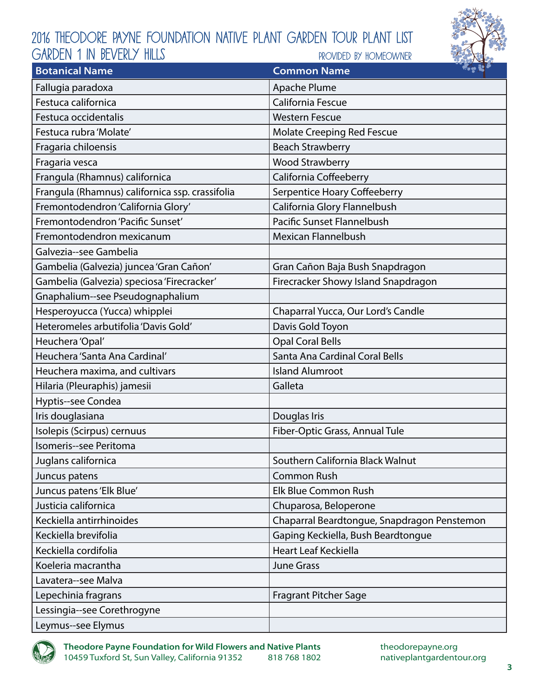# 2016 Theodore Payne Foundation Native Plant Garden Tour Plant List provided by homeowner GARDEN 1 IN BEVERLY HILLS



| <b>Botanical Name</b>                           | $\sim$ $\sim$ $\sim$<br><b>Common Name</b>  |
|-------------------------------------------------|---------------------------------------------|
| Fallugia paradoxa                               | Apache Plume                                |
| Festuca californica                             | California Fescue                           |
| Festuca occidentalis                            | <b>Western Fescue</b>                       |
| Festuca rubra 'Molate'                          | Molate Creeping Red Fescue                  |
| Fragaria chiloensis                             | <b>Beach Strawberry</b>                     |
| Fragaria vesca                                  | <b>Wood Strawberry</b>                      |
| Frangula (Rhamnus) californica                  | California Coffeeberry                      |
| Frangula (Rhamnus) californica ssp. crassifolia | Serpentice Hoary Coffeeberry                |
| Fremontodendron 'California Glory'              | California Glory Flannelbush                |
| Fremontodendron 'Pacific Sunset'                | Pacific Sunset Flannelbush                  |
| Fremontodendron mexicanum                       | <b>Mexican Flannelbush</b>                  |
| Galvezia--see Gambelia                          |                                             |
| Gambelia (Galvezia) juncea 'Gran Cañon'         | Gran Cañon Baja Bush Snapdragon             |
| Gambelia (Galvezia) speciosa 'Firecracker'      | Firecracker Showy Island Snapdragon         |
| Gnaphalium--see Pseudognaphalium                |                                             |
| Hesperoyucca (Yucca) whipplei                   | Chaparral Yucca, Our Lord's Candle          |
| Heteromeles arbutifolia 'Davis Gold'            | Davis Gold Toyon                            |
| Heuchera 'Opal'                                 | <b>Opal Coral Bells</b>                     |
| Heuchera 'Santa Ana Cardinal'                   | Santa Ana Cardinal Coral Bells              |
| Heuchera maxima, and cultivars                  | <b>Island Alumroot</b>                      |
| Hilaria (Pleuraphis) jamesii                    | Galleta                                     |
| Hyptis--see Condea                              |                                             |
| Iris douglasiana                                | Douglas Iris                                |
| Isolepis (Scirpus) cernuus                      | Fiber-Optic Grass, Annual Tule              |
| Isomeris--see Peritoma                          |                                             |
| Juglans californica                             | Southern California Black Walnut            |
| Juncus patens                                   | <b>Common Rush</b>                          |
| Juncus patens 'Elk Blue'                        | Elk Blue Common Rush                        |
| Justicia californica                            | Chuparosa, Beloperone                       |
| Keckiella antirrhinoides                        | Chaparral Beardtongue, Snapdragon Penstemon |
| Keckiella brevifolia                            | Gaping Keckiella, Bush Beardtongue          |
| Keckiella cordifolia                            | <b>Heart Leaf Keckiella</b>                 |
| Koeleria macrantha                              | <b>June Grass</b>                           |
| Lavatera--see Malva                             |                                             |
| Lepechinia fragrans                             | <b>Fragrant Pitcher Sage</b>                |
| Lessingia--see Corethrogyne                     |                                             |
| Leymus--see Elymus                              |                                             |

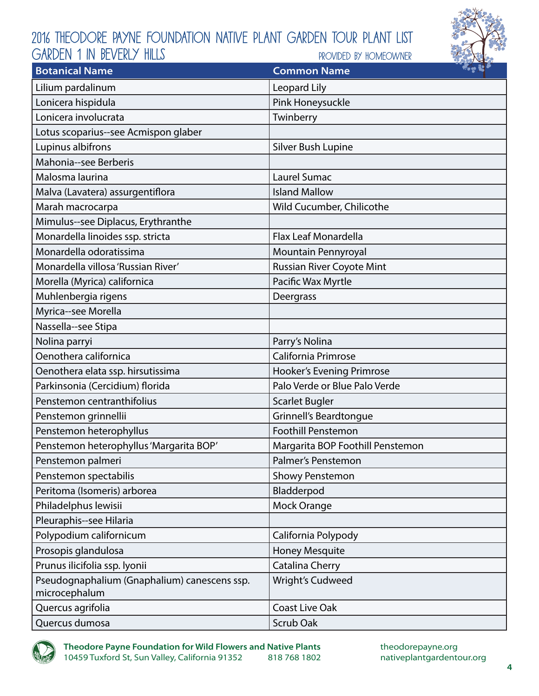

| <b>Botanical Name</b>                                         | <b>Common Name</b>               | 22.83 |
|---------------------------------------------------------------|----------------------------------|-------|
| Lilium pardalinum                                             | Leopard Lily                     |       |
| Lonicera hispidula                                            | Pink Honeysuckle                 |       |
| Lonicera involucrata                                          | Twinberry                        |       |
| Lotus scoparius--see Acmispon glaber                          |                                  |       |
| Lupinus albifrons                                             | Silver Bush Lupine               |       |
| Mahonia--see Berberis                                         |                                  |       |
| Malosma laurina                                               | Laurel Sumac                     |       |
| Malva (Lavatera) assurgentiflora                              | <b>Island Mallow</b>             |       |
| Marah macrocarpa                                              | Wild Cucumber, Chilicothe        |       |
| Mimulus--see Diplacus, Erythranthe                            |                                  |       |
| Monardella linoides ssp. stricta                              | <b>Flax Leaf Monardella</b>      |       |
| Monardella odoratissima                                       | Mountain Pennyroyal              |       |
| Monardella villosa 'Russian River'                            | Russian River Coyote Mint        |       |
| Morella (Myrica) californica                                  | Pacific Wax Myrtle               |       |
| Muhlenbergia rigens                                           | Deergrass                        |       |
| Myrica--see Morella                                           |                                  |       |
| Nassella--see Stipa                                           |                                  |       |
| Nolina parryi                                                 | Parry's Nolina                   |       |
| Oenothera californica                                         | California Primrose              |       |
| Oenothera elata ssp. hirsutissima                             | <b>Hooker's Evening Primrose</b> |       |
| Parkinsonia (Cercidium) florida                               | Palo Verde or Blue Palo Verde    |       |
| Penstemon centranthifolius                                    | <b>Scarlet Bugler</b>            |       |
| Penstemon grinnellii                                          | Grinnell's Beardtongue           |       |
| Penstemon heterophyllus                                       | <b>Foothill Penstemon</b>        |       |
| Penstemon heterophyllus 'Margarita BOP'                       | Margarita BOP Foothill Penstemon |       |
| Penstemon palmeri                                             | Palmer's Penstemon               |       |
| Penstemon spectabilis                                         | <b>Showy Penstemon</b>           |       |
| Peritoma (Isomeris) arborea                                   | Bladderpod                       |       |
| Philadelphus lewisii                                          | Mock Orange                      |       |
| Pleuraphis--see Hilaria                                       |                                  |       |
| Polypodium californicum                                       | California Polypody              |       |
| Prosopis glandulosa                                           | <b>Honey Mesquite</b>            |       |
| Prunus ilicifolia ssp. lyonii                                 | Catalina Cherry                  |       |
| Pseudognaphalium (Gnaphalium) canescens ssp.<br>microcephalum | Wright's Cudweed                 |       |
| Quercus agrifolia                                             | <b>Coast Live Oak</b>            |       |
| Quercus dumosa                                                | Scrub Oak                        |       |

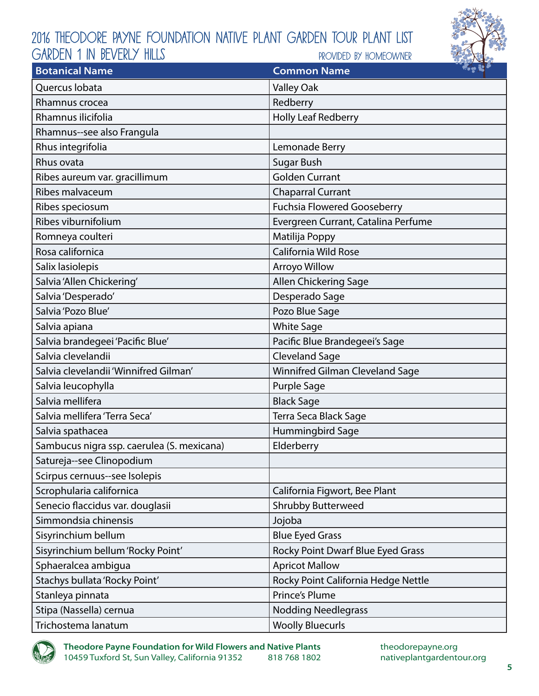

| <b>Botanical Name</b>                      | <b>Common Name</b>                  | $\sim$ $\approx$ $\sim$ |
|--------------------------------------------|-------------------------------------|-------------------------|
| Quercus Iobata                             | <b>Valley Oak</b>                   |                         |
| Rhamnus crocea                             | Redberry                            |                         |
| Rhamnus ilicifolia                         | <b>Holly Leaf Redberry</b>          |                         |
| Rhamnus--see also Frangula                 |                                     |                         |
| Rhus integrifolia                          | Lemonade Berry                      |                         |
| Rhus ovata                                 | <b>Sugar Bush</b>                   |                         |
| Ribes aureum var. gracillimum              | <b>Golden Currant</b>               |                         |
| Ribes malvaceum                            | <b>Chaparral Currant</b>            |                         |
| Ribes speciosum                            | <b>Fuchsia Flowered Gooseberry</b>  |                         |
| Ribes viburnifolium                        | Evergreen Currant, Catalina Perfume |                         |
| Romneya coulteri                           | Matilija Poppy                      |                         |
| Rosa californica                           | <b>California Wild Rose</b>         |                         |
| Salix lasiolepis                           | Arroyo Willow                       |                         |
| Salvia 'Allen Chickering'                  | Allen Chickering Sage               |                         |
| Salvia 'Desperado'                         | Desperado Sage                      |                         |
| Salvia 'Pozo Blue'                         | Pozo Blue Sage                      |                         |
| Salvia apiana                              | <b>White Sage</b>                   |                         |
| Salvia brandegeei 'Pacific Blue'           | Pacific Blue Brandegeei's Sage      |                         |
| Salvia clevelandii                         | <b>Cleveland Sage</b>               |                         |
| Salvia clevelandii 'Winnifred Gilman'      | Winnifred Gilman Cleveland Sage     |                         |
| Salvia leucophylla                         | <b>Purple Sage</b>                  |                         |
| Salvia mellifera                           | <b>Black Sage</b>                   |                         |
| Salvia mellifera 'Terra Seca'              | Terra Seca Black Sage               |                         |
| Salvia spathacea                           | Hummingbird Sage                    |                         |
| Sambucus nigra ssp. caerulea (S. mexicana) | Elderberry                          |                         |
| Satureja--see Clinopodium                  |                                     |                         |
| Scirpus cernuus--see Isolepis              |                                     |                         |
| Scrophularia californica                   | California Figwort, Bee Plant       |                         |
| Senecio flaccidus var. douglasii           | <b>Shrubby Butterweed</b>           |                         |
| Simmondsia chinensis                       | Jojoba                              |                         |
| Sisyrinchium bellum                        | <b>Blue Eyed Grass</b>              |                         |
| Sisyrinchium bellum 'Rocky Point'          | Rocky Point Dwarf Blue Eyed Grass   |                         |
| Sphaeralcea ambigua                        | <b>Apricot Mallow</b>               |                         |
| Stachys bullata 'Rocky Point'              | Rocky Point California Hedge Nettle |                         |
| Stanleya pinnata                           | <b>Prince's Plume</b>               |                         |
| Stipa (Nassella) cernua                    | <b>Nodding Needlegrass</b>          |                         |
| Trichostema lanatum                        | <b>Woolly Bluecurls</b>             |                         |